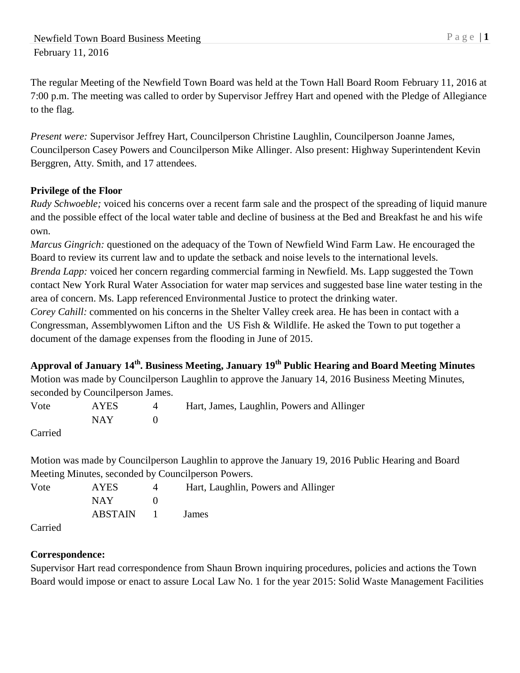The regular Meeting of the Newfield Town Board was held at the Town Hall Board Room February 11, 2016 at 7:00 p.m. The meeting was called to order by Supervisor Jeffrey Hart and opened with the Pledge of Allegiance to the flag.

*Present were:* Supervisor Jeffrey Hart, Councilperson Christine Laughlin, Councilperson Joanne James, Councilperson Casey Powers and Councilperson Mike Allinger. Also present: Highway Superintendent Kevin Berggren, Atty. Smith, and 17 attendees.

# **Privilege of the Floor**

*Rudy Schwoeble;* voiced his concerns over a recent farm sale and the prospect of the spreading of liquid manure and the possible effect of the local water table and decline of business at the Bed and Breakfast he and his wife own.

*Marcus Gingrich:* questioned on the adequacy of the Town of Newfield Wind Farm Law. He encouraged the Board to review its current law and to update the setback and noise levels to the international levels. *Brenda Lapp:* voiced her concern regarding commercial farming in Newfield. Ms. Lapp suggested the Town contact New York Rural Water Association for water map services and suggested base line water testing in the area of concern. Ms. Lapp referenced Environmental Justice to protect the drinking water.

*Corey Cahill:* commented on his concerns in the Shelter Valley creek area. He has been in contact with a Congressman, Assemblywomen Lifton and the US Fish & Wildlife. He asked the Town to put together a document of the damage expenses from the flooding in June of 2015.

**Approval of January 14th. Business Meeting, January 19th Public Hearing and Board Meeting Minutes** Motion was made by Councilperson Laughlin to approve the January 14, 2016 Business Meeting Minutes, seconded by Councilperson James.

| Vote                          | AYES. | Hart, James, Laughlin, Powers and Allinger |
|-------------------------------|-------|--------------------------------------------|
|                               | NAY.  |                                            |
| $C$ <sub>amia</sub> $\lambda$ |       |                                            |

Carried

Motion was made by Councilperson Laughlin to approve the January 19, 2016 Public Hearing and Board Meeting Minutes, seconded by Councilperson Powers.

| Vote                 | <b>AYES</b> |                  | Hart, Laughlin, Powers and Allinger |
|----------------------|-------------|------------------|-------------------------------------|
|                      | NAY 1       |                  |                                     |
|                      | ABSTAIN     | and the property | James                               |
| $\sim$ $\sim$ $\sim$ |             |                  |                                     |

Carried

# **Correspondence:**

Supervisor Hart read correspondence from Shaun Brown inquiring procedures, policies and actions the Town Board would impose or enact to assure Local Law No. 1 for the year 2015: Solid Waste Management Facilities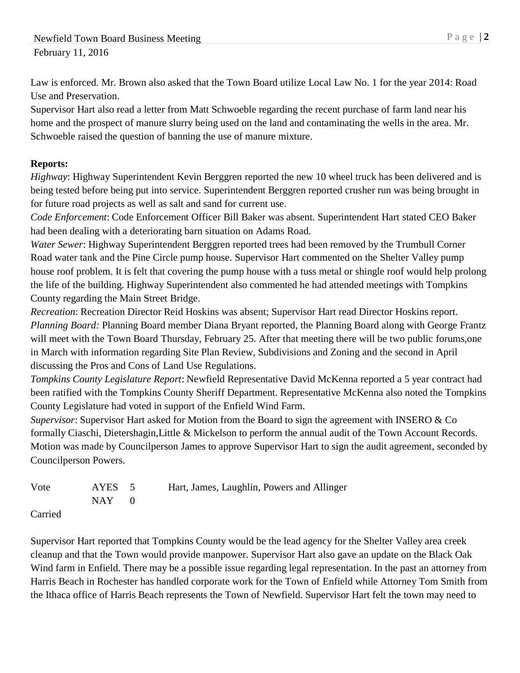Law is enforced. Mr. Brown also asked that the Town Board utilize Local Law No. 1 for the year 2014: Road Use and Preservation.

Supervisor Hart also read a letter from Matt Schwoeble regarding the recent purchase of farm land near his home and the prospect of manure slurry being used on the land and contaminating the wells in the area. Mr. Schwoeble raised the question of banning the use of manure mixture.

### **Reports:**

*Highway*: Highway Superintendent Kevin Berggren reported the new 10 wheel truck has been delivered and is being tested before being put into service. Superintendent Berggren reported crusher run was being brought in for future road projects as well as salt and sand for current use.

*Code Enforcement*: Code Enforcement Officer Bill Baker was absent. Superintendent Hart stated CEO Baker had been dealing with a deteriorating barn situation on Adams Road.

*Water Sewer*: Highway Superintendent Berggren reported trees had been removed by the Trumbull Corner Road water tank and the Pine Circle pump house. Supervisor Hart commented on the Shelter Valley pump house roof problem. It is felt that covering the pump house with a tuss metal or shingle roof would help prolong the life of the building. Highway Superintendent also commented he had attended meetings with Tompkins County regarding the Main Street Bridge.

*Recreation*: Recreation Director Reid Hoskins was absent; Supervisor Hart read Director Hoskins report. *Planning Board:* Planning Board member Diana Bryant reported, the Planning Board along with George Frantz will meet with the Town Board Thursday, February 25. After that meeting there will be two public forums, one in March with information regarding Site Plan Review, Subdivisions and Zoning and the second in April discussing the Pros and Cons of Land Use Regulations.

*Tompkins County Legislature Report*: Newfield Representative David McKenna reported a 5 year contract had been ratified with the Tompkins County Sheriff Department. Representative McKenna also noted the Tompkins County Legislature had voted in support of the Enfield Wind Farm.

*Supervisor*: Supervisor Hart asked for Motion from the Board to sign the agreement with INSERO & Co formally Ciaschi, Dietershagin,Little & Mickelson to perform the annual audit of the Town Account Records. Motion was made by Councilperson James to approve Supervisor Hart to sign the audit agreement, seconded by Councilperson Powers.

| Vote       | AYES 5    | Hart, James, Laughlin, Powers and Allinger |
|------------|-----------|--------------------------------------------|
|            | $NAY = 0$ |                                            |
| $C$ orriod |           |                                            |

Carried

Supervisor Hart reported that Tompkins County would be the lead agency for the Shelter Valley area creek cleanup and that the Town would provide manpower. Supervisor Hart also gave an update on the Black Oak Wind farm in Enfield. There may be a possible issue regarding legal representation. In the past an attorney from Harris Beach in Rochester has handled corporate work for the Town of Enfield while Attorney Tom Smith from the Ithaca office of Harris Beach represents the Town of Newfield. Supervisor Hart felt the town may need to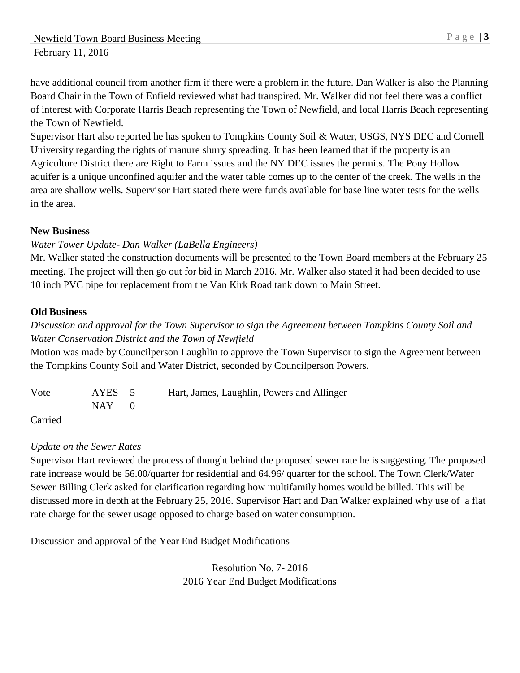have additional council from another firm if there were a problem in the future. Dan Walker is also the Planning Board Chair in the Town of Enfield reviewed what had transpired. Mr. Walker did not feel there was a conflict of interest with Corporate Harris Beach representing the Town of Newfield, and local Harris Beach representing the Town of Newfield.

Supervisor Hart also reported he has spoken to Tompkins County Soil & Water, USGS, NYS DEC and Cornell University regarding the rights of manure slurry spreading. It has been learned that if the property is an Agriculture District there are Right to Farm issues and the NY DEC issues the permits. The Pony Hollow aquifer is a unique unconfined aquifer and the water table comes up to the center of the creek. The wells in the area are shallow wells. Supervisor Hart stated there were funds available for base line water tests for the wells in the area.

### **New Business**

### *Water Tower Update- Dan Walker (LaBella Engineers)*

Mr. Walker stated the construction documents will be presented to the Town Board members at the February 25 meeting. The project will then go out for bid in March 2016. Mr. Walker also stated it had been decided to use 10 inch PVC pipe for replacement from the Van Kirk Road tank down to Main Street.

### **Old Business**

# *Discussion and approval for the Town Supervisor to sign the Agreement between Tompkins County Soil and Water Conservation District and the Town of Newfield*

Motion was made by Councilperson Laughlin to approve the Town Supervisor to sign the Agreement between the Tompkins County Soil and Water District, seconded by Councilperson Powers.

| Vote | AYES 5     | Hart, James, Laughlin, Powers and Allinger |
|------|------------|--------------------------------------------|
|      | $NAY \t 0$ |                                            |

Carried

### *Update on the Sewer Rates*

Supervisor Hart reviewed the process of thought behind the proposed sewer rate he is suggesting. The proposed rate increase would be 56.00/quarter for residential and 64.96/ quarter for the school. The Town Clerk/Water Sewer Billing Clerk asked for clarification regarding how multifamily homes would be billed. This will be discussed more in depth at the February 25, 2016. Supervisor Hart and Dan Walker explained why use of a flat rate charge for the sewer usage opposed to charge based on water consumption.

Discussion and approval of the Year End Budget Modifications

Resolution No. 7- 2016 2016 Year End Budget Modifications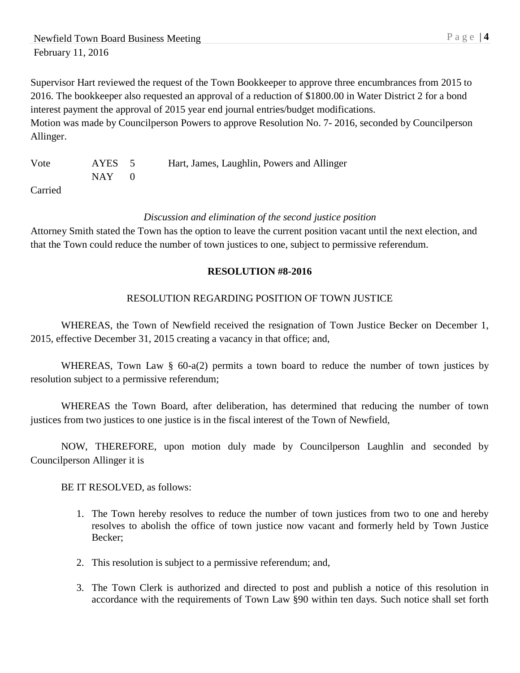Supervisor Hart reviewed the request of the Town Bookkeeper to approve three encumbrances from 2015 to 2016. The bookkeeper also requested an approval of a reduction of \$1800.00 in Water District 2 for a bond interest payment the approval of 2015 year end journal entries/budget modifications. Motion was made by Councilperson Powers to approve Resolution No. 7- 2016, seconded by Councilperson Allinger.

Vote AYES 5 Hart, James, Laughlin, Powers and Allinger  $NAY$  0

Carried

### *Discussion and elimination of the second justice position*

Attorney Smith stated the Town has the option to leave the current position vacant until the next election, and that the Town could reduce the number of town justices to one, subject to permissive referendum.

### **RESOLUTION #8-2016**

### RESOLUTION REGARDING POSITION OF TOWN JUSTICE

WHEREAS, the Town of Newfield received the resignation of Town Justice Becker on December 1, 2015, effective December 31, 2015 creating a vacancy in that office; and,

WHEREAS, Town Law § 60-a(2) permits a town board to reduce the number of town justices by resolution subject to a permissive referendum;

WHEREAS the Town Board, after deliberation, has determined that reducing the number of town justices from two justices to one justice is in the fiscal interest of the Town of Newfield,

NOW, THEREFORE, upon motion duly made by Councilperson Laughlin and seconded by Councilperson Allinger it is

BE IT RESOLVED, as follows:

- 1. The Town hereby resolves to reduce the number of town justices from two to one and hereby resolves to abolish the office of town justice now vacant and formerly held by Town Justice Becker;
- 2. This resolution is subject to a permissive referendum; and,
- 3. The Town Clerk is authorized and directed to post and publish a notice of this resolution in accordance with the requirements of Town Law §90 within ten days. Such notice shall set forth